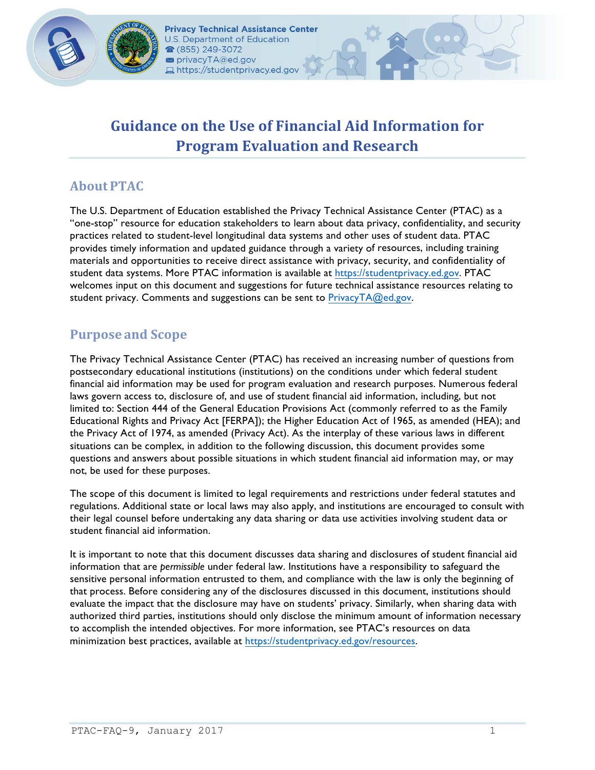

# **Guidance on the Use of Financial Aid Information for Program Evaluation and Research**

## **About PTAC**

 The U.S. Department of Education established the Privacy Technical Assistance Center (PTAC) as a "one-stop" resource for education stakeholders to learn about data privacy, confidentiality, and security practices related to student-level longitudinal data systems and other uses of student data. PTAC provides timely information and updated guidance through a variety of resources, including training materials and opportunities to receive direct assistance with privacy, security, and confidentiality of student data systems. More PTAC information is available at https://[studentprivacy](https://studentprivacy.ed.gov).ed.gov. PTAC welcomes input on this document and suggestions for future technical assistance resources relating to student privacy. Comments and suggestions can be sent to PrivacyTA@ed.gov.

## **Purpose and Scope**

 The Privacy Technical Assistance Center (PTAC) has received an increasing number of questions from postsecondary educational institutions (institutions) on the conditions under which federal student laws govern access to, disclosure of, and use of student financial aid information, including, but not limited to: Section 444 of the General Education Provisions Act (commonly referred to as the Family Educational Rights and Privacy Act [FERPA]); the Higher Education Act of 1965, as amended (HEA); and the Privacy Act of 1974, as amended (Privacy Act). As the interplay of these various laws in different situations can be complex, in addition to the following discussion, this document provides some questions and answers about possible situations in which student financial aid information may, or may not, be used for these purposes. financial aid information may be used for program evaluation and research purposes. Numerous federal

 The scope of this document is limited to legal requirements and restrictions under federal statutes and regulations. Additional state or local laws may also apply, and institutions are encouraged to consult with their legal counsel before undertaking any data sharing or data use activities involving student data or student financial aid information.

 information that are *permissible* under federal law. Institutions have a responsibility to safeguard the sensitive personal information entrusted to them, and compliance with the law is only the beginning of that process. Before considering any of the disclosures discussed in this document, institutions should evaluate the impact that the disclosure may have on students' privacy. Similarly, when sharing data with authorized third parties, institutions should only disclose the minimum amount of information necessary to accomplish the intended objectives. For more information, see PTAC's resources on data minimization best practices, available at https://studentprivacy.ed.gov/resources. It is important to note that this document discusses data sharing and disclosures of student financial aid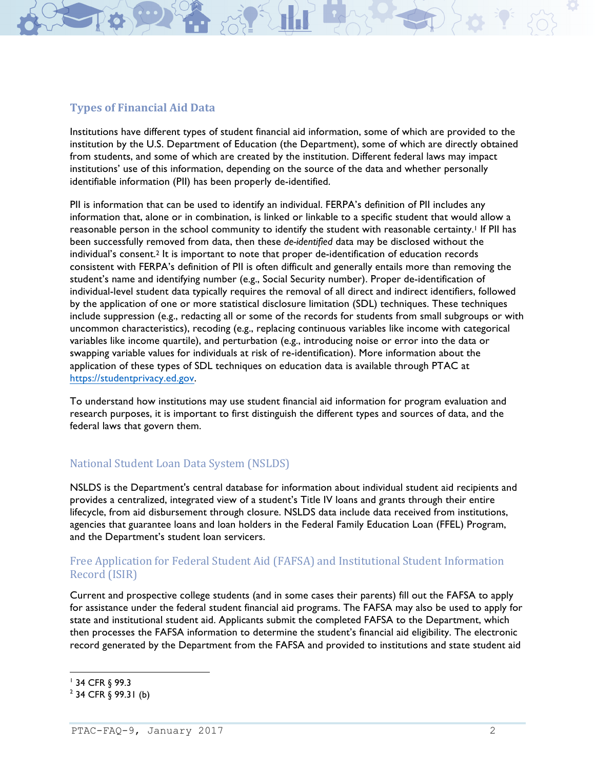### **Types of Financial Aid Data**

 Institutions have different types of student financial aid information, some of which are provided to the institution by the U.S. Department of Education (the Department), some of which are directly obtained from students, and some of which are created by the institution. Different federal laws may impact institutions' use of this information, depending on the source of the data and whether personally identifiable information (PII) has been properly de-identified.

 PII is information that can be used to identify an individual. FERPA's definition of PII includes any information that, alone or in combination, is linked or linkable to a specific student that would allow a reasonable person in the school community to identify the student with reasonable certainty.<sup>1</sup> If PII has been successfully removed from data, then these *de-identified* data may be disclosed without the individual's consent.<sup>2</sup> It is important to note that proper de-identification of education records consistent with FERPA's definition of PII is often difficult and generally entails more than removing the student's name and identifying number (e.g., Social Security number). Proper de-identification of individual-level student data typically requires the removal of all direct and indirect identifiers, followed by the application of one or more statistical disclosure limitation (SDL) techniques. These techniques include suppression (e.g., redacting all or some of the records for students from small subgroups or with uncommon characteristics), recoding (e.g., replacing continuous variables like income with categorical variables like income quartile), and perturbation (e.g., introducing noise or error into the data or swapping variable values for individuals at risk of re-identification). More information about the application of these types of SDL techniques on education data is available through PTAC at https://studentprivacy.ed.gov.

 To understand how institutions may use student financial aid information for program evaluation and research purposes, it is important to first distinguish the different types and sources of data, and the federal laws that govern them.

### National Student Loan Data System (NSLDS)

 NSLDS is the Department's central database for information about individual student aid recipients and provides a centralized, integrated view of a student's Title IV loans and grants through their entire lifecycle, from aid disbursement through closure. NSLDS data include data received from institutions, agencies that guarantee loans and loan holders in the Federal Family Education Loan (FFEL) Program, and the Department's student loan servicers.

#### Free Application for Federal Student Aid(FAFSA) and Institutional Student Information Record (ISIR)

 Current and prospective college students (and in some cases their parents) fill out the FAFSA to apply for assistance under the federal student financial aid programs. The FAFSA may also be used to apply for state and institutional student aid. Applicants submit the completed FAFSA to the Department, which then processes the FAFSA information to determine the student's financial aid eligibility. The electronic record generated by the Department from the FAFSA and provided to institutions and state student aid

 1 34 CFR § 99.3

 $^{2}$  34 CFR  $\S$  99.31 (b)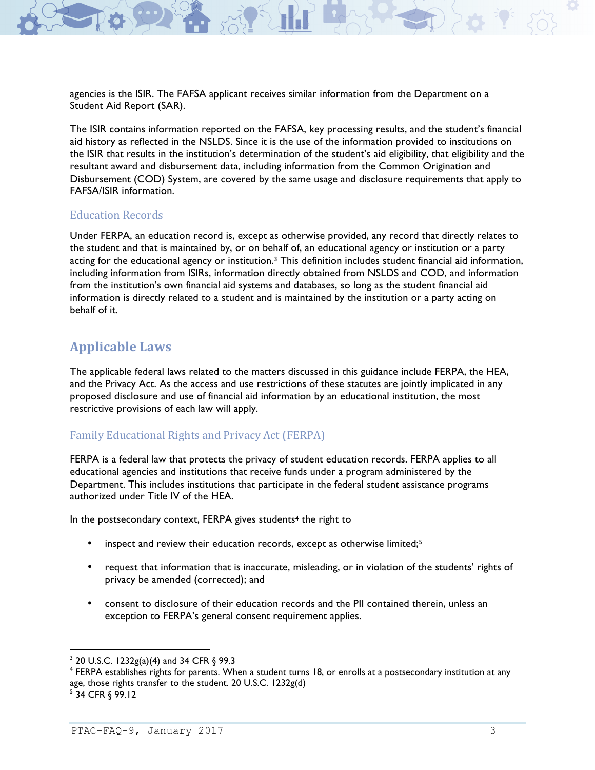agencies is the ISIR. The FAFSA applicant receives similar information from the Department on a Student Aid Report (SAR).

 The ISIR contains information reported on the FAFSA, key processing results, and the student's financial aid history as reflected in the NSLDS. Since it is the use of the information provided to institutions on the ISIR that results in the institution's determination of the student's aid eligibility, that eligibility and the resultant award and disbursement data, including information from the Common Origination and Disbursement (COD) System, are covered by the same usage and disclosure requirements that apply to FAFSA/ISIR information.

#### Education Records

 Under FERPA, an education record is, except as otherwise provided, any record that directly relates to the student and that is maintained by, or on behalf of, an educational agency or institution or a party acting for the educational agency or institution.<sup>3</sup> This definition includes student financial aid information, including information from ISIRs, information directly obtained from NSLDS and COD, and information from the institution's own financial aid systems and databases, so long as the student financial aid information is directly related to a student and is maintained by the institution or a party acting on behalf of it.

### **Applicable Laws**

 The applicable federal laws related to the matters discussed in this guidance include FERPA, the HEA, and the Privacy Act. As the access and use restrictions of these statutes are jointly implicated in any proposed disclosure and use of financial aid information by an educational institution, the most restrictive provisions of each law will apply.

#### Family Educational Rights and Privacy Act (FERPA)

 FERPA is a federal law that protects the privacy of student education records. FERPA applies to all educational agencies and institutions that receive funds under a program administered by the Department. This includes institutions that participate in the federal student assistance programs authorized under Title IV of the HEA.

In the postsecondary context, FERPA gives students<sup>4</sup> the right to

- inspect and review their education records, except as otherwise limited;<sup>5</sup>
- • request that information that is inaccurate, misleading, or in violation of the students' rights of privacy be amended (corrected); and
- • consent to disclosure of their education records and the PII contained therein, unless an exception to FERPA's general consent requirement applies.

 $3$  20 U.S.C. 1232g(a)(4) and 34 CFR § 99.3

 $^4$  FERPA establishes rights for parents. When a student turns 18, or enrolls at a postsecondary institution at any age, those rights transfer to the student. 20 U.S.C. 1232g(d)

 $5$  34 CFR  $\S$  99.12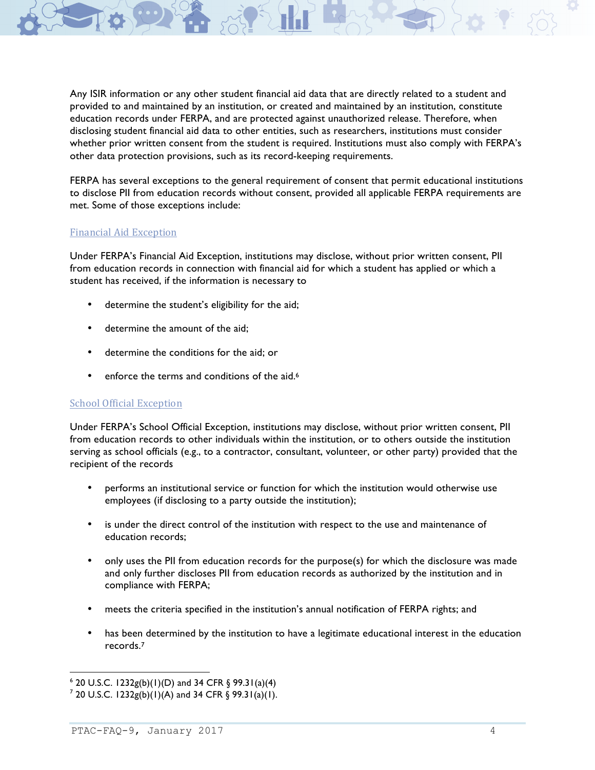Any ISIR information or any other student financial aid data that are directly related to a student and provided to and maintained by an institution, or created and maintained by an institution, constitute education records under FERPA, and are protected against unauthorized release. Therefore, when disclosing student financial aid data to other entities, such as researchers, institutions must consider whether prior written consent from the student is required. Institutions must also comply with FERPA's other data protection provisions, such as its record-keeping requirements.

 FERPA has several exceptions to the general requirement of consent that permit educational institutions to disclose PII from education records without consent, provided all applicable FERPA requirements are met. Some of those exceptions include:

#### Financial Aid Exception

 Under FERPA's Financial Aid Exception, institutions may disclose, without prior written consent, PII student has received, if the information is necessary to from education records in connection with financial aid for which a student has applied or which a

- determine the student's eligibility for the aid;
- determine the amount of the aid;
- determine the conditions for the aid; or
- enforce the terms and conditions of the aid.<sup>6</sup>

#### **School Official Exception**

 Under FERPA's School Official Exception, institutions may disclose, without prior written consent, PII serving as school officials (e.g., to a contractor, consultant, volunteer, or other party) provided that the recipient of the records from education records to other individuals within the institution, or to others outside the institution

- • performs an institutional service or function for which the institution would otherwise use employees (if disclosing to a party outside the institution);
- • is under the direct control of the institution with respect to the use and maintenance of education records;
- • only uses the PII from education records for the purpose(s) for which the disclosure was made and only further discloses PII from education records as authorized by the institution and in compliance with FERPA;
- meets the criteria specified in the institution's annual notification of FERPA rights; and
- • has been determined by the institution to have a legitimate educational interest in the education records.7

 $6$  20 U.S.C. 1232g(b)(1)(D) and 34 CFR § 99.31(a)(4)

 $7$  20 U.S.C. 1232g(b)(1)(A) and 34 CFR § 99.31(a)(1).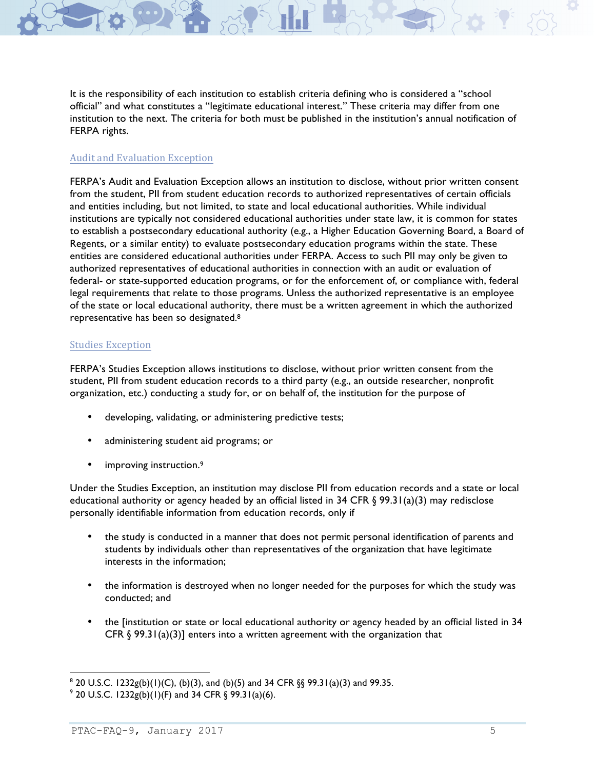official" and what constitutes a "legitimate educational interest." These criteria may differ from one institution to the next. The criteria for both must be published in the institution's annual notification of It is the responsibility of each institution to establish criteria defining who is considered a "school FERPA rights.

#### Audit and Evaluation Exception

 FERPA's Audit and Evaluation Exception allows an institution to disclose, without prior written consent from the student, PII from student education records to authorized representatives of certain officials and entities including, but not limited, to state and local educational authorities. While individual institutions are typically not considered educational authorities under state law, it is common for states to establish a postsecondary educational authority (e.g., a Higher Education Governing Board, a Board of Regents, or a similar entity) to evaluate postsecondary education programs within the state. These entities are considered educational authorities under FERPA. Access to such PII may only be given to authorized representatives of educational authorities in connection with an audit or evaluation of legal requirements that relate to those programs. Unless the authorized representative is an employee of the state or local educational authority, there must be a written agreement in which the authorized representative has been so designated.<sup>8</sup> federal- or state-supported education programs, or for the enforcement of, or compliance with, federal

#### Studies Exception

 FERPA's Studies Exception allows institutions to disclose, without prior written consent from the student, PII from student education records to a third party (e.g., an outside researcher, nonprofit organization, etc.) conducting a study for, or on behalf of, the institution for the purpose of

- developing, validating, or administering predictive tests;
- administering student aid programs; or
- improving instruction.<sup>9</sup>

 Under the Studies Exception, an institution may disclose PII from education records and a state or local educational authority or agency headed by an official listed in 34 CFR § 99.31(a)(3) may redisclose personally identifiable information from education records, only if

- • the study is conducted in a manner that does not permit personal identification of parents and students by individuals other than representatives of the organization that have legitimate interests in the information;
- • the information is destroyed when no longer needed for the purposes for which the study was conducted; and
- • the [institution or state or local educational authority or agency headed by an official listed in 34 CFR  $\S$  99.31(a)(3)] enters into a written agreement with the organization that

 $8$  20 U.S.C. 1232g(b)(1)(C), (b)(3), and (b)(5) and 34 CFR §§ 99.31(a)(3) and 99.35.

 $9$  20 U.S.C. 1232g(b)(1)(F) and 34 CFR § 99.31(a)(6).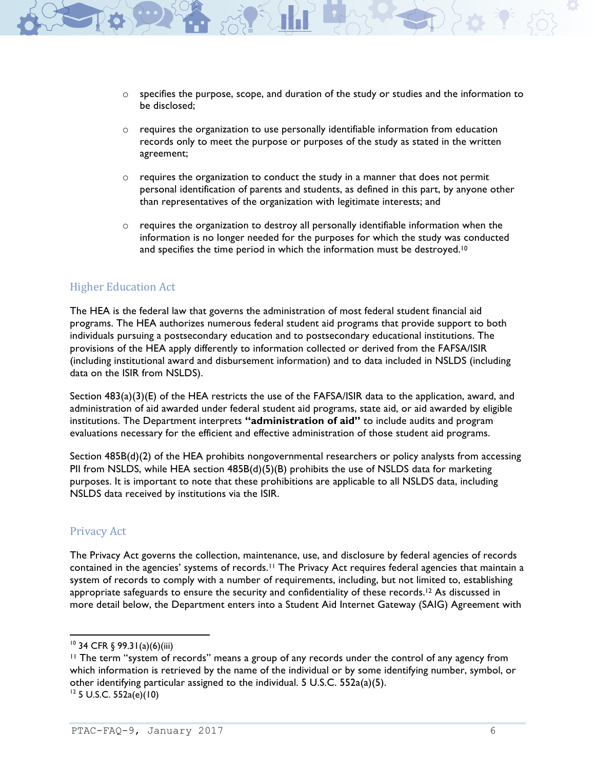- - $\circ$  specifies the purpose, scope, and duration of the study or studies and the information to be disclosed;
	- records only to meet the purpose or purposes of the study as stated in the written  $\circ$  requires the organization to use personally identifiable information from education agreement;
	- $\circ$  requires the organization to conduct the study in a manner that does not permit personal identification of parents and students, as defined in this part, by anyone other than representatives of the organization with legitimate interests; and
	- $\circ$  requires the organization to destroy all personally identifiable information when the information is no longer needed for the purposes for which the study was conducted and specifies the time period in which the information must be destroyed.<sup>10</sup>

#### **Higher Education Act**

 The HEA is the federal law that governs the administration of most federal student financial aid programs. The HEA authorizes numerous federal student aid programs that provide support to both individuals pursuing a postsecondary education and to postsecondary educational institutions. The provisions of the HEA apply differently to information collected or derived from the FAFSA/ISIR (including institutional award and disbursement information) and to data included in NSLDS (including data on the ISIR from NSLDS).

 Section 483(a)(3)(E) of the HEA restricts the use of the FAFSA/ISIR data to the application, award, and administration of aid awarded under federal student aid programs, state aid, or aid awarded by eligible institutions. The Department interprets **"administration of aid"** to include audits and program evaluations necessary for the efficient and effective administration of those student aid programs.

 Section 485B(d)(2) of the HEA prohibits nongovernmental researchers or policy analysts from accessing PII from NSLDS, while HEA section 485B(d)(5)(B) prohibits the use of NSLDS data for marketing purposes. It is important to note that these prohibitions are applicable to all NSLDS data, including NSLDS data received by institutions via the ISIR.

#### Privacy Act

 The Privacy Act governs the collection, maintenance, use, and disclosure by federal agencies of records contained in the agencies' systems of records.11 The Privacy Act requires federal agencies that maintain a system of records to comply with a number of requirements, including, but not limited to, establishing appropriate safeguards to ensure the security and confidentiality of these records.<sup>12</sup> As discussed in more detail below, the Department enters into a Student Aid Internet Gateway (SAIG) Agreement with

 $10$  34 CFR § 99.31(a)(6)(iii)

 11 The term "system of records" means a group of any records under the control of any agency from which information is retrieved by the name of the individual or by some identifying number, symbol, or other identifying particular assigned to the individual. 5 U.S.C. 552a(a)(5).  $12$  5 U.S.C. 552a(e)(10)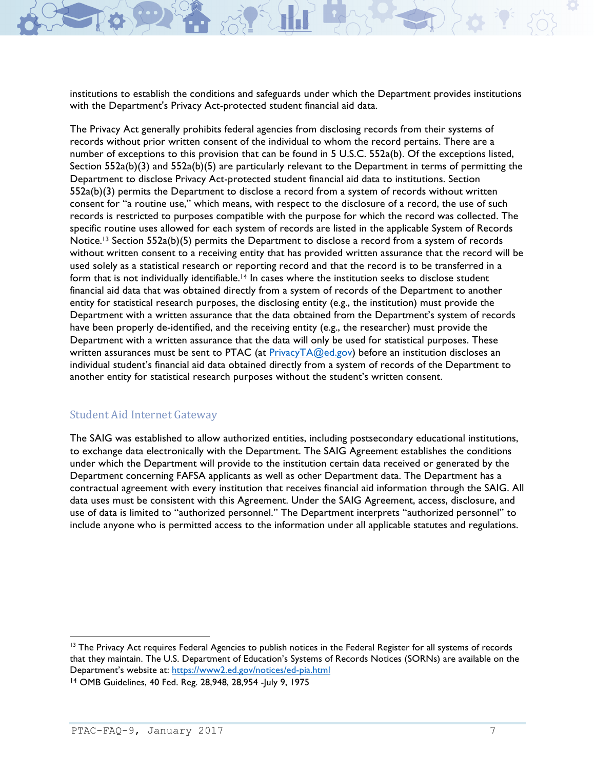institutions to establish the conditions and safeguards under which the Department provides institutions with the Department's Privacy Act-protected student financial aid data.

 The Privacy Act generally prohibits federal agencies from disclosing records from their systems of records without prior written consent of the individual to whom the record pertains. There are a number of exceptions to this provision that can be found in 5 U.S.C. 552a(b). Of the exceptions listed, Section 552a(b)(3) and 552a(b)(5) are particularly relevant to the Department in terms of permitting the Department to disclose Privacy Act-protected student financial aid data to institutions. Section 552a(b)(3) permits the Department to disclose a record from a system of records without written consent for "a routine use," which means, with respect to the disclosure of a record, the use of such records is restricted to purposes compatible with the purpose for which the record was collected. The specific routine uses allowed for each system of records are listed in the applicable System of Records Notice.<sup>13</sup> Section 552a(b)(5) permits the Department to disclose a record from a system of records without written consent to a receiving entity that has provided written assurance that the record will be used solely as a statistical research or reporting record and that the record is to be transferred in a form that is not individually identifiable.<sup>14</sup> In cases where the institution seeks to disclose student financial aid data that was obtained directly from a system of records of the Department to another entity for statistical research purposes, the disclosing entity (e.g., the institution) must provide the Department with a written assurance that the data obtained from the Department's system of records have been properly de-identified, and the receiving entity (e.g., the researcher) must provide the Department with a written assurance that the data will only be used for statistical purposes. These written assurances must be sent to PTAC (at <u>PrivacyTA@ed.gov</u>) before an institution discloses an individual student's financial aid data obtained directly from a system of records of the Department to another entity for statistical research purposes without the student's written consent.

### Student Aid Internet Gateway

 The SAIG was established to allow authorized entities, including postsecondary educational institutions, to exchange data electronically with the Department. The SAIG Agreement establishes the conditions under which the Department will provide to the institution certain data received or generated by the Department concerning FAFSA applicants as well as other Department data. The Department has a contractual agreement with every institution that receives financial aid information through the SAIG. All data uses must be consistent with this Agreement. Under the SAIG Agreement, access, disclosure, and use of data is limited to "authorized personnel." The Department interprets "authorized personnel" to include anyone who is permitted access to the information under all applicable statutes and regulations.

<sup>&</sup>lt;sup>13</sup> The Privacy Act requires Federal Agencies to publish notices in the Federal Register for all systems of records that they maintain. The U.S. Department of Education's Systems of Records Notices (SORNs) are available on the Department's website at: https://www2.ed.gov/notices/ed-pia.html

 14 OMB Guidelines, 40 Fed. Reg. 28,948, 28,954 -July 9, 1975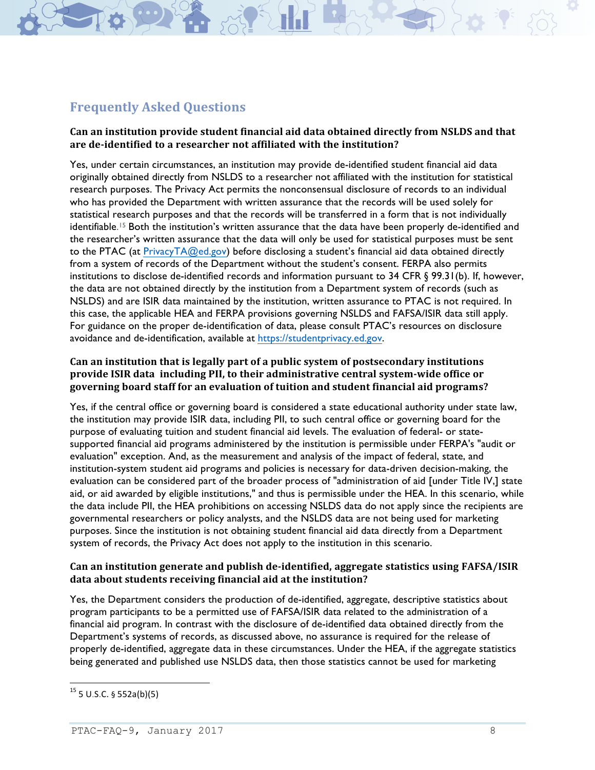## **Frequently Asked Ouestions**

#### **Can an institution provide student financial aid data obtained directly from NSLDS and that are de-identified to a researcher not affiliated with the institution?**

 Yes, under certain circumstances, an institution may provide de-identified student financial aid data originally obtained directly from NSLDS to a researcher not affiliated with the institution for statistical research purposes. The Privacy Act permits the nonconsensual disclosure of records to an individual who has provided the Department with written assurance that the records will be used solely for statistical research purposes and that the records will be transferred in a form that is not individually identifiable.<sup>15</sup> Both the institution's written assurance that the data have been properly de-identified and the researcher's written assurance that the data will only be used for statistical purposes must be sent to the PTAC (at <u>PrivacyTA@ed.gov</u>) before disclosing a student's financial aid data obtained directly from a system of records of the Department without the student's consent. FERPA also permits institutions to disclose de-identified records and information pursuant to 34 CFR § 99.31(b). If, however, the data are not obtained directly by the institution from a Department system of records (such as NSLDS) and are ISIR data maintained by the institution, written assurance to PTAC is not required. In this case, the applicable HEA and FERPA provisions governing NSLDS and FAFSA/ISIR data still apply. For guidance on the proper de-identification of data, please consult PTAC's resources on disclosure avoidance and de-identification, available at https://studentprivacy.ed.gov.

#### **Can an institution that is legally part of apublic system of postsecondary institutions**  provide ISIR data including PII, to their administrative central system-wide office or provide ISIR data including PII, to their administrative central system-wide office or<br>governing board staff for an evaluation of tuition and student financial aid programs?

 Yes, if the central office or governing board is considered a state educational authority under state law, the institution may provide ISIR data, including PII, to such central office or governing board for the purpose of evaluating tuition and student financial aid levels. The evaluation of federal- or state- supported financial aid programs administered by the institution is permissible under FERPA's "audit or evaluation" exception. And, as the measurement and analysis of the impact of federal, state, and institution-system student aid programs and policies is necessary for data-driven decision-making, the evaluation can be considered part of the broader process of "administration of aid [under Title IV,] state aid, or aid awarded by eligible institutions," and thus is permissible under the HEA. In this scenario, while the data include PII, the HEA prohibitions on accessing NSLDS data do not apply since the recipients are governmental researchers or policy analysts, and the NSLDS data are not being used for marketing purposes. Since the institution is not obtaining student financial aid data directly from a Department system of records, the Privacy Act does not apply to the institution in this scenario.

#### **Can an institution generate and publish de-identified, aggregate statistics using FAFSA/ISIR data about students receiving financial aid at the institution?**

 Yes, the Department considers the production of de-identified, aggregate, descriptive statistics about program participants to be a permitted use of FAFSA/ISIR data related to the administration of a financial aid program. In contrast with the disclosure of de-identified data obtained directly from the Department's systems of records, as discussed above, no assurance is required for the release of properly de-identified, aggregate data in these circumstances. Under the HEA, if the aggregate statistics being generated and published use NSLDS data, then those statistics cannot be used for marketing

 $15$  5 U.S.C. § 552a(b)(5)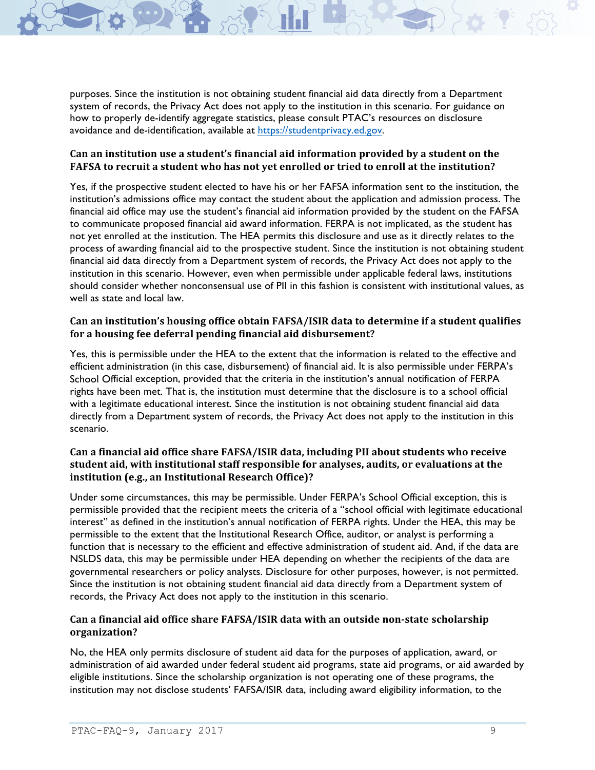purposes. Since the institution is not obtaining student financial aid data directly from a Department system of records, the Privacy Act does not apply to the institution in this scenario. For guidance on how to properly de-identify aggregate statistics, please consult PTAC's resources on disclosure avoidance and de-identification, available at https://studentprivacy.ed.gov.

#### Can an institution use a student's financial aid information provided by a student on the Can an institution use a student's financial aid information provided by a student on the<br>FAFSA to recruit a student who has not yet enrolled or tried to enroll at the institution?

 Yes, if the prospective student elected to have his or her FAFSA information sent to the institution, the institution's admissions office may contact the student about the application and admission process. The financial aid office may use the student's financial aid information provided by the student on the FAFSA to communicate proposed financial aid award information. FERPA is not implicated, as the student has not yet enrolled at the institution. The HEA permits this disclosure and use as it directly relates to the process of awarding financial aid to the prospective student. Since the institution is not obtaining student financial aid data directly from a Department system of records, the Privacy Act does not apply to the institution in this scenario. However, even when permissible under applicable federal laws, institutions should consider whether nonconsensual use of PII in this fashion is consistent with institutional values, as well as state and local law.

#### **Can an institution's housing office obtain FAFSA/ISIR data to determine if a student qualifies for a housing fee deferral pending financial aid disbursement?**

 Yes, this is permissible under the HEA to the extent that the information is related to the effective and efficient administration (in this case, disbursement) of financial aid. It is also permissible under FERPA's School Official exception, provided that the criteria in the institution's annual notification of FERPA rights have been met. That is, the institution must determine that the disclosure is to a school official with a legitimate educational interest. Since the institution is not obtaining student financial aid data directly from a Department system of records, the Privacy Act does not apply to the institution in this scenario.

#### **Can a financial aid office shareFAFSA/ISIR data, including PII about students who receive student aid, with institutional staffresponsible for analyses, audits, orevaluations at the Institution (e.g., an Institutional Research Office)?**

 Under some circumstances, this may be permissible. Under FERPA's School Official exception, this is permissible provided that the recipient meets the criteria of a "school official with legitimate educational interest" as defined in the institution's annual notification of FERPA rights. Under the HEA, this may be permissible to the extent that the Institutional Research Office, auditor, or analyst is performing a function that is necessary to the efficient and effective administration of student aid. And, if the data are NSLDS data, this may be permissible under HEA depending on whether the recipients of the data are governmental researchers or policy analysts. Disclosure for other purposes, however, is not permitted. Since the institution is not obtaining student financial aid data directly from a Department system of records, the Privacy Act does not apply to the institution in this scenario.

#### **Can a financial aid office shareFAFSA/ISIR data with an outside non-state scholarship organization?**

 No, the HEA only permits disclosure of student aid data for the purposes of application, award, or administration of aid awarded under federal student aid programs, state aid programs, or aid awarded by eligible institutions. Since the scholarship organization is not operating one of these programs, the institution may not disclose students' FAFSA/ISIR data, including award eligibility information, to the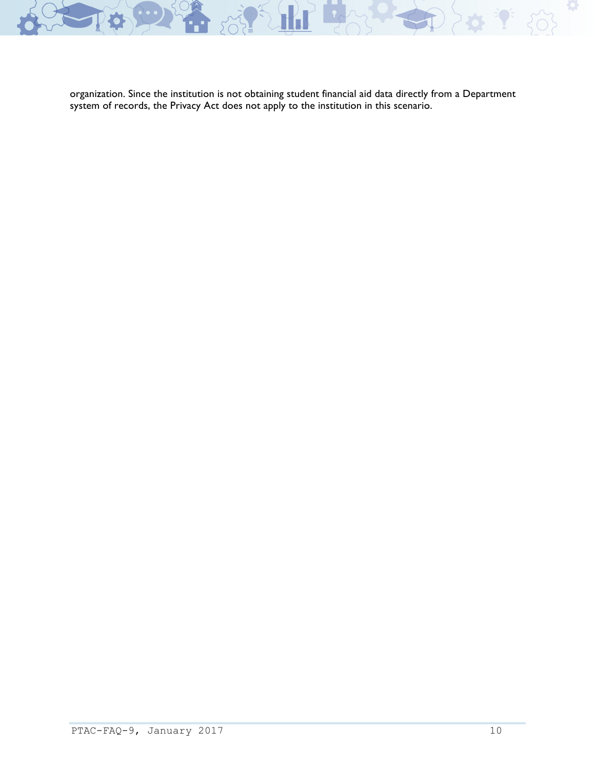

organization. Since the institution is not obtaining student financial aid data directly from a Department system of records, the Privacy Act does not apply to the institution in this scenario.